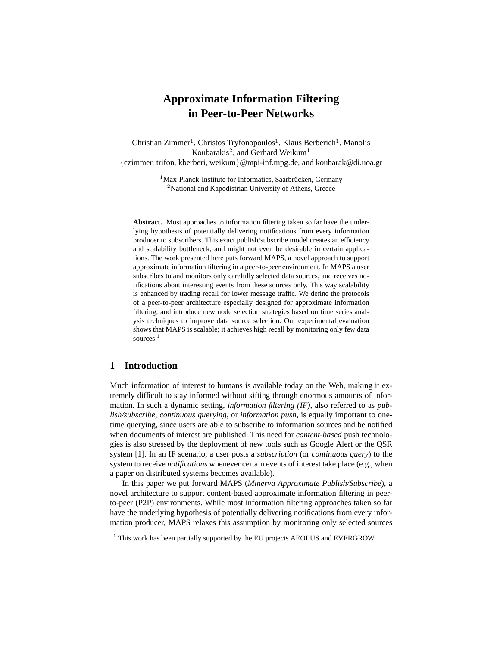# **Approximate Information Filtering in Peer-to-Peer Networks**

Christian Zimmer<sup>1</sup>, Christos Tryfonopoulos<sup>1</sup>, Klaus Berberich<sup>1</sup>, Manolis Koubarakis<sup>2</sup>, and Gerhard Weikum<sup>1</sup> {czimmer, trifon, kberberi, weikum}@mpi-inf.mpg.de, and koubarak@di.uoa.gr

> $1$ Max-Planck-Institute for Informatics, Saarbrücken, Germany <sup>2</sup>National and Kapodistrian University of Athens, Greece

**Abstract.** Most approaches to information filtering taken so far have the underlying hypothesis of potentially delivering notifications from every information producer to subscribers. This exact publish/subscribe model creates an efficiency and scalability bottleneck, and might not even be desirable in certain applications. The work presented here puts forward MAPS, a novel approach to support approximate information filtering in a peer-to-peer environment. In MAPS a user subscribes to and monitors only carefully selected data sources, and receives notifications about interesting events from these sources only. This way scalability is enhanced by trading recall for lower message traffic. We define the protocols of a peer-to-peer architecture especially designed for approximate information filtering, and introduce new node selection strategies based on time series analysis techniques to improve data source selection. Our experimental evaluation shows that MAPS is scalable; it achieves high recall by monitoring only few data sources.<sup>1</sup>

# **1 Introduction**

Much information of interest to humans is available today on the Web, making it extremely difficult to stay informed without sifting through enormous amounts of information. In such a dynamic setting, *information filtering (IF)*, also referred to as *publish/subscribe*, *continuous querying*, or *information push*, is equally important to onetime querying, since users are able to subscribe to information sources and be notified when documents of interest are published. This need for *content-based* push technologies is also stressed by the deployment of new tools such as Google Alert or the QSR system [1]. In an IF scenario, a user posts a *subscription* (or *continuous query*) to the system to receive *notifications* whenever certain events of interest take place (e.g., when a paper on distributed systems becomes available).

In this paper we put forward MAPS (*Minerva Approximate Publish/Subscribe*), a novel architecture to support content-based approximate information filtering in peerto-peer (P2P) environments. While most information filtering approaches taken so far have the underlying hypothesis of potentially delivering notifications from every information producer, MAPS relaxes this assumption by monitoring only selected sources

<sup>&</sup>lt;sup>1</sup> This work has been partially supported by the EU projects AEOLUS and EVERGROW.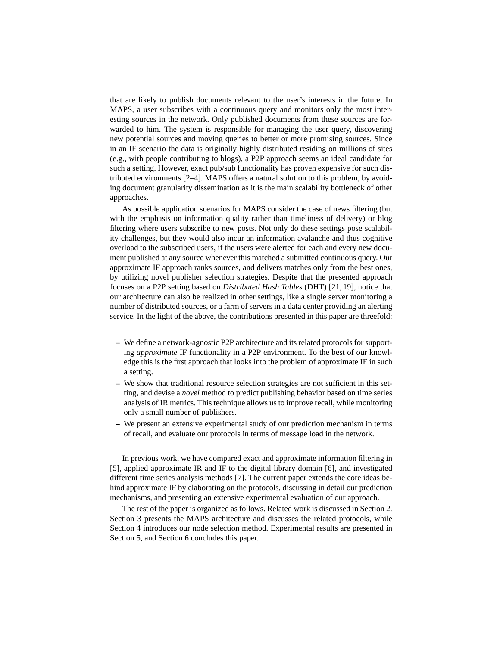that are likely to publish documents relevant to the user's interests in the future. In MAPS, a user subscribes with a continuous query and monitors only the most interesting sources in the network. Only published documents from these sources are forwarded to him. The system is responsible for managing the user query, discovering new potential sources and moving queries to better or more promising sources. Since in an IF scenario the data is originally highly distributed residing on millions of sites (e.g., with people contributing to blogs), a P2P approach seems an ideal candidate for such a setting. However, exact pub/sub functionality has proven expensive for such distributed environments [2–4]. MAPS offers a natural solution to this problem, by avoiding document granularity dissemination as it is the main scalability bottleneck of other approaches.

As possible application scenarios for MAPS consider the case of news filtering (but with the emphasis on information quality rather than timeliness of delivery) or blog filtering where users subscribe to new posts. Not only do these settings pose scalability challenges, but they would also incur an information avalanche and thus cognitive overload to the subscribed users, if the users were alerted for each and every new document published at any source whenever this matched a submitted continuous query. Our approximate IF approach ranks sources, and delivers matches only from the best ones, by utilizing novel publisher selection strategies. Despite that the presented approach focuses on a P2P setting based on *Distributed Hash Tables* (DHT) [21, 19], notice that our architecture can also be realized in other settings, like a single server monitoring a number of distributed sources, or a farm of servers in a data center providing an alerting service. In the light of the above, the contributions presented in this paper are threefold:

- **–** We define a network-agnostic P2P architecture and its related protocols for supporting *approximate* IF functionality in a P2P environment. To the best of our knowledge this is the first approach that looks into the problem of approximate IF in such a setting.
- **–** We show that traditional resource selection strategies are not sufficient in this setting, and devise a *novel* method to predict publishing behavior based on time series analysis of IR metrics. This technique allows us to improve recall, while monitoring only a small number of publishers.
- **–** We present an extensive experimental study of our prediction mechanism in terms of recall, and evaluate our protocols in terms of message load in the network.

In previous work, we have compared exact and approximate information filtering in [5], applied approximate IR and IF to the digital library domain [6], and investigated different time series analysis methods [7]. The current paper extends the core ideas behind approximate IF by elaborating on the protocols, discussing in detail our prediction mechanisms, and presenting an extensive experimental evaluation of our approach.

The rest of the paper is organized as follows. Related work is discussed in Section 2. Section 3 presents the MAPS architecture and discusses the related protocols, while Section 4 introduces our node selection method. Experimental results are presented in Section 5, and Section 6 concludes this paper.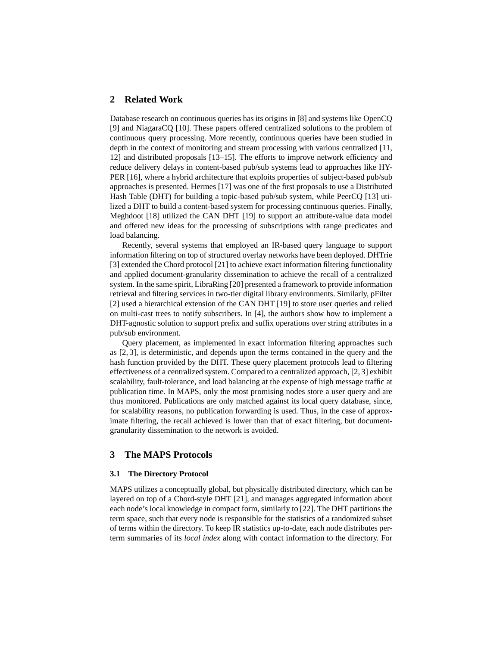# **2 Related Work**

Database research on continuous queries has its origins in [8] and systems like OpenCQ [9] and NiagaraCQ [10]. These papers offered centralized solutions to the problem of continuous query processing. More recently, continuous queries have been studied in depth in the context of monitoring and stream processing with various centralized [11, 12] and distributed proposals [13–15]. The efforts to improve network efficiency and reduce delivery delays in content-based pub/sub systems lead to approaches like HY-PER [16], where a hybrid architecture that exploits properties of subject-based pub/sub approaches is presented. Hermes [17] was one of the first proposals to use a Distributed Hash Table (DHT) for building a topic-based pub/sub system, while PeerCQ [13] utilized a DHT to build a content-based system for processing continuous queries. Finally, Meghdoot [18] utilized the CAN DHT [19] to support an attribute-value data model and offered new ideas for the processing of subscriptions with range predicates and load balancing.

Recently, several systems that employed an IR-based query language to support information filtering on top of structured overlay networks have been deployed. DHTrie [3] extended the Chord protocol [21] to achieve exact information filtering functionality and applied document-granularity dissemination to achieve the recall of a centralized system. In the same spirit, LibraRing [20] presented a framework to provide information retrieval and filtering services in two-tier digital library environments. Similarly, pFilter [2] used a hierarchical extension of the CAN DHT [19] to store user queries and relied on multi-cast trees to notify subscribers. In [4], the authors show how to implement a DHT-agnostic solution to support prefix and suffix operations over string attributes in a pub/sub environment.

Query placement, as implemented in exact information filtering approaches such as [2, 3], is deterministic, and depends upon the terms contained in the query and the hash function provided by the DHT. These query placement protocols lead to filtering effectiveness of a centralized system. Compared to a centralized approach, [2, 3] exhibit scalability, fault-tolerance, and load balancing at the expense of high message traffic at publication time. In MAPS, only the most promising nodes store a user query and are thus monitored. Publications are only matched against its local query database, since, for scalability reasons, no publication forwarding is used. Thus, in the case of approximate filtering, the recall achieved is lower than that of exact filtering, but documentgranularity dissemination to the network is avoided.

# **3 The MAPS Protocols**

### **3.1 The Directory Protocol**

MAPS utilizes a conceptually global, but physically distributed directory, which can be layered on top of a Chord-style DHT [21], and manages aggregated information about each node's local knowledge in compact form, similarly to [22]. The DHT partitions the term space, such that every node is responsible for the statistics of a randomized subset of terms within the directory. To keep IR statistics up-to-date, each node distributes perterm summaries of its *local index* along with contact information to the directory. For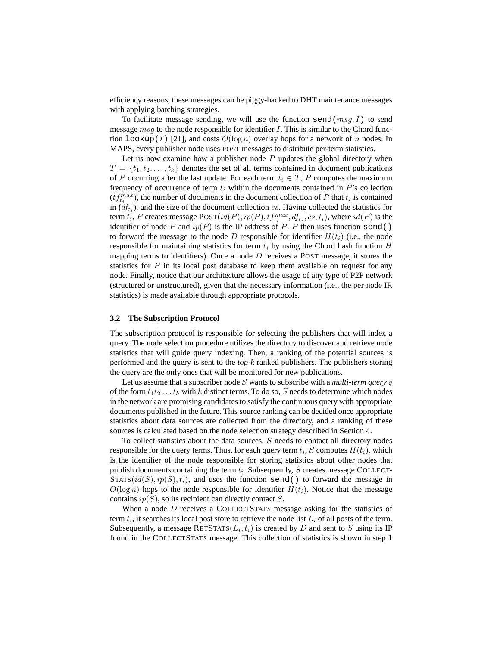efficiency reasons, these messages can be piggy-backed to DHT maintenance messages with applying batching strategies.

To facilitate message sending, we will use the function send( $msg, I$ ) to send message  $msg$  to the node responsible for identifier I. This is similar to the Chord function  $l$ ookup(I) [21], and costs  $O(\log n)$  overlay hops for a network of n nodes. In MAPS, every publisher node uses POST messages to distribute per-term statistics.

Let us now examine how a publisher node  $P$  updates the global directory when  $T = \{t_1, t_2, \ldots, t_k\}$  denotes the set of all terms contained in document publications of P occurring after the last update. For each term  $t_i \in T$ , P computes the maximum frequency of occurrence of term  $t_i$  within the documents contained in  $P$ 's collection  $(tf_{t_i}^{max})$ , the number of documents in the document collection of P that  $t_i$  is contained in  $(df<sub>t<sub>i</sub></sub>)$ , and the size of the document collection cs. Having collected the statistics for term  $t_i$ , P creates message  $\text{POST}(id(P), ip(P), tf_{t_i}^{max}, df_{t_i}, cs, t_i)$ , where  $id(P)$  is the identifier of node P and  $ip(P)$  is the IP address of P. P then uses function send() to forward the message to the node D responsible for identifier  $H(t_i)$  (i.e., the node responsible for maintaining statistics for term  $t_i$  by using the Chord hash function  $H$ mapping terms to identifiers). Once a node  $D$  receives a POST message, it stores the statistics for  $P$  in its local post database to keep them available on request for any node. Finally, notice that our architecture allows the usage of any type of P2P network (structured or unstructured), given that the necessary information (i.e., the per-node IR statistics) is made available through appropriate protocols.

#### **3.2 The Subscription Protocol**

The subscription protocol is responsible for selecting the publishers that will index a query. The node selection procedure utilizes the directory to discover and retrieve node statistics that will guide query indexing. Then, a ranking of the potential sources is performed and the query is sent to the *top-k* ranked publishers. The publishers storing the query are the only ones that will be monitored for new publications.

Let us assume that a subscriber node S wants to subscribe with a *multi-term query* q of the form  $t_1t_2 \ldots t_k$  with k distinct terms. To do so, S needs to determine which nodes in the network are promising candidates to satisfy the continuous query with appropriate documents published in the future. This source ranking can be decided once appropriate statistics about data sources are collected from the directory, and a ranking of these sources is calculated based on the node selection strategy described in Section 4.

To collect statistics about the data sources, S needs to contact all directory nodes responsible for the query terms. Thus, for each query term  $t_i$ ,  $S$  computes  $H(t_i)$ , which is the identifier of the node responsible for storing statistics about other nodes that publish documents containing the term  $t_i$ . Subsequently,  $S$  creates message COLLECT- $STATS(id(S), ip(S), t_i)$ , and uses the function send() to forward the message in  $O(\log n)$  hops to the node responsible for identifier  $H(t_i)$ . Notice that the message contains  $ip(S)$ , so its recipient can directly contact S.

When a node D receives a COLLECTSTATS message asking for the statistics of term  $t_i$ , it searches its local post store to retrieve the node list  $L_i$  of all posts of the term. Subsequently, a message RETSTATS $(L_i, t_i)$  is created by D and sent to S using its IP found in the COLLECTSTATS message. This collection of statistics is shown in step 1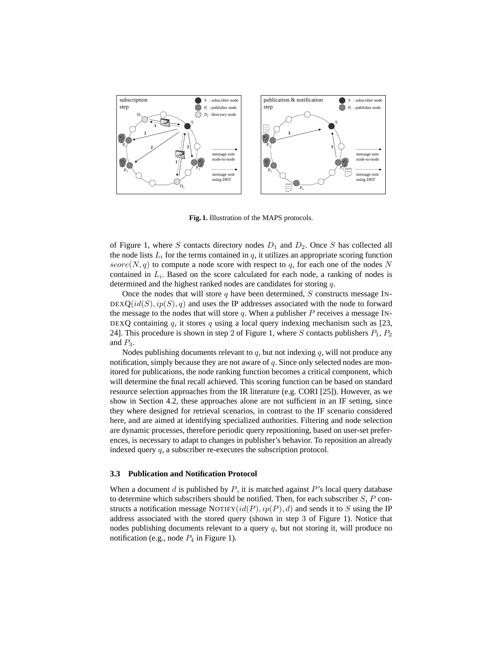

**Fig. 1.** Illustration of the MAPS protocols.

of Figure 1, where S contacts directory nodes  $D_1$  and  $D_2$ . Once S has collected all the node lists  $L_i$  for the terms contained in  $q$ , it utilizes an appropriate scoring function  $score(N, q)$  to compute a node score with respect to q, for each one of the nodes N contained in  $L_i$ . Based on the score calculated for each node, a ranking of nodes is determined and the highest ranked nodes are candidates for storing q.

Once the nodes that will store q have been determined, S constructs message IN- $DEXQ(id(S), ip(S), q)$  and uses the IP addresses associated with the node to forward the message to the nodes that will store  $q$ . When a publisher  $P$  receives a message IN-DEXQ containing  $q$ , it stores  $q$  using a local query indexing mechanism such as [23, 24]. This procedure is shown in step 2 of Figure 1, where S contacts publishers  $P_1$ ,  $P_2$ and  $P_3$ .

Nodes publishing documents relevant to  $q$ , but not indexing  $q$ , will not produce any notification, simply because they are not aware of  $q$ . Since only selected nodes are monitored for publications, the node ranking function becomes a critical component, which will determine the final recall achieved. This scoring function can be based on standard resource selection approaches from the IR literature (e.g. CORI [25]). However, as we show in Section 4.2, these approaches alone are not sufficient in an IF setting, since they where designed for retrieval scenarios, in contrast to the IF scenario considered here, and are aimed at identifying specialized authorities. Filtering and node selection are dynamic processes, therefore periodic query repositioning, based on user-set preferences, is necessary to adapt to changes in publisher's behavior. To reposition an already indexed query q, a subscriber re-executes the subscription protocol.

#### **3.3 Publication and Notification Protocol**

When a document  $d$  is published by  $P$ , it is matched against  $P$ 's local query database to determine which subscribers should be notified. Then, for each subscriber  $S$ , P constructs a notification message NOTIFY $(id(P), ip(P), d)$  and sends it to S using the IP address associated with the stored query (shown in step 3 of Figure 1). Notice that nodes publishing documents relevant to a query  $q$ , but not storing it, will produce no notification (e.g., node  $P_4$  in Figure 1).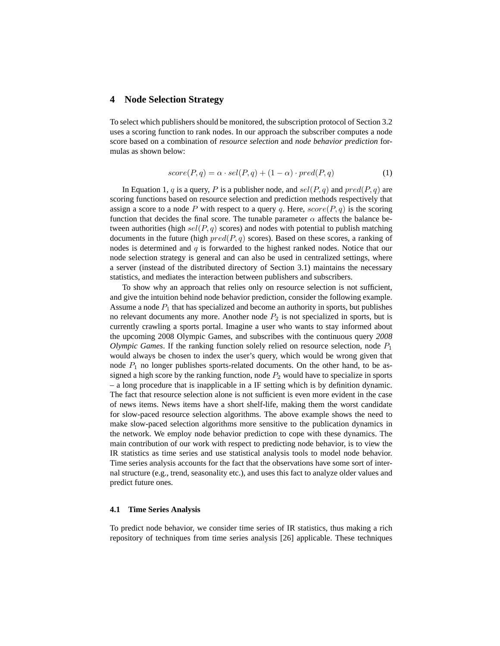### **4 Node Selection Strategy**

To select which publishers should be monitored, the subscription protocol of Section 3.2 uses a scoring function to rank nodes. In our approach the subscriber computes a node score based on a combination of *resource selection* and *node behavior prediction* formulas as shown below:

$$
score(P, q) = \alpha \cdot sel(P, q) + (1 - \alpha) \cdot pred(P, q)
$$
\n<sup>(1)</sup>

In Equation 1, q is a query, P is a publisher node, and  $sel(P, q)$  and  $pred(P, q)$  are scoring functions based on resource selection and prediction methods respectively that assign a score to a node P with respect to a query q. Here,  $score(P, q)$  is the scoring function that decides the final score. The tunable parameter  $\alpha$  affects the balance between authorities (high  $sel(P, q)$  scores) and nodes with potential to publish matching documents in the future (high  $pred(P, q)$  scores). Based on these scores, a ranking of nodes is determined and  $q$  is forwarded to the highest ranked nodes. Notice that our node selection strategy is general and can also be used in centralized settings, where a server (instead of the distributed directory of Section 3.1) maintains the necessary statistics, and mediates the interaction between publishers and subscribers.

To show why an approach that relies only on resource selection is not sufficient, and give the intuition behind node behavior prediction, consider the following example. Assume a node  $P_1$  that has specialized and become an authority in sports, but publishes no relevant documents any more. Another node  $P_2$  is not specialized in sports, but is currently crawling a sports portal. Imagine a user who wants to stay informed about the upcoming 2008 Olympic Games, and subscribes with the continuous query *2008 Olympic Games*. If the ranking function solely relied on resource selection, node  $P_1$ would always be chosen to index the user's query, which would be wrong given that node  $P_1$  no longer publishes sports-related documents. On the other hand, to be assigned a high score by the ranking function, node  $P_2$  would have to specialize in sports – a long procedure that is inapplicable in a IF setting which is by definition dynamic. The fact that resource selection alone is not sufficient is even more evident in the case of news items. News items have a short shelf-life, making them the worst candidate for slow-paced resource selection algorithms. The above example shows the need to make slow-paced selection algorithms more sensitive to the publication dynamics in the network. We employ node behavior prediction to cope with these dynamics. The main contribution of our work with respect to predicting node behavior, is to view the IR statistics as time series and use statistical analysis tools to model node behavior. Time series analysis accounts for the fact that the observations have some sort of internal structure (e.g., trend, seasonality etc.), and uses this fact to analyze older values and predict future ones.

#### **4.1 Time Series Analysis**

To predict node behavior, we consider time series of IR statistics, thus making a rich repository of techniques from time series analysis [26] applicable. These techniques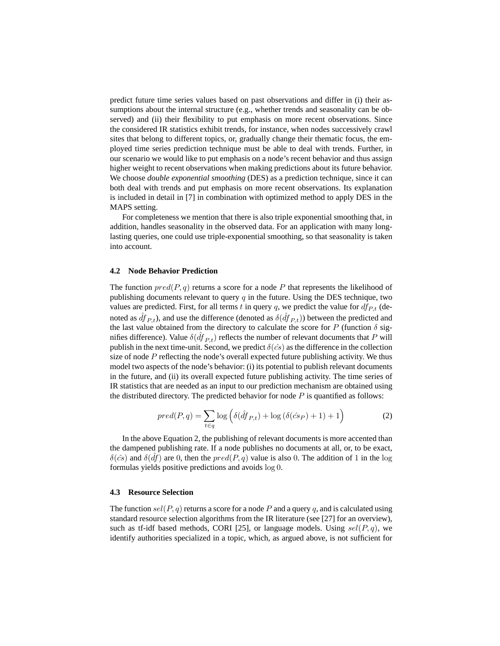predict future time series values based on past observations and differ in (i) their assumptions about the internal structure (e.g., whether trends and seasonality can be observed) and (ii) their flexibility to put emphasis on more recent observations. Since the considered IR statistics exhibit trends, for instance, when nodes successively crawl sites that belong to different topics, or, gradually change their thematic focus, the employed time series prediction technique must be able to deal with trends. Further, in our scenario we would like to put emphasis on a node's recent behavior and thus assign higher weight to recent observations when making predictions about its future behavior. We choose *double exponential smoothing* (DES) as a prediction technique, since it can both deal with trends and put emphasis on more recent observations. Its explanation is included in detail in [7] in combination with optimized method to apply DES in the MAPS setting.

For completeness we mention that there is also triple exponential smoothing that, in addition, handles seasonality in the observed data. For an application with many longlasting queries, one could use triple-exponential smoothing, so that seasonality is taken into account.

#### **4.2 Node Behavior Prediction**

The function  $pred(P, q)$  returns a score for a node P that represents the likelihood of publishing documents relevant to query  $q$  in the future. Using the DES technique, two values are predicted. First, for all terms t in query q, we predict the value for  $df_{P,t}$  (denoted as  $\hat{df}_{P,t}$ ), and use the difference (denoted as  $\delta(\hat{df}_{P,t})$ ) between the predicted and the last value obtained from the directory to calculate the score for P (function  $\delta$  signifies difference). Value  $\delta(\hat{df}_{P,t})$  reflects the number of relevant documents that P will publish in the next time-unit. Second, we predict  $\delta(\hat{cs})$  as the difference in the collection size of node  $P$  reflecting the node's overall expected future publishing activity. We thus model two aspects of the node's behavior: (i) its potential to publish relevant documents in the future, and (ii) its overall expected future publishing activity. The time series of IR statistics that are needed as an input to our prediction mechanism are obtained using the distributed directory. The predicted behavior for node  $P$  is quantified as follows:

$$
pred(P, q) = \sum_{t \in q} \log \left( \delta(\hat{df}_{P,t}) + \log \left( \delta(\hat{cs}_P) + 1 \right) + 1 \right) \tag{2}
$$

In the above Equation 2, the publishing of relevant documents is more accented than the dampened publishing rate. If a node publishes no documents at all, or, to be exact,  $\delta(\hat{cs})$  and  $\delta(\hat{df})$  are 0, then the  $pred(P, q)$  value is also 0. The addition of 1 in the log formulas yields positive predictions and avoids log 0.

### **4.3 Resource Selection**

The function  $\text{sel}(P, q)$  returns a score for a node P and a query q, and is calculated using standard resource selection algorithms from the IR literature (see [27] for an overview), such as tf-idf based methods, CORI [25], or language models. Using  $sel(P, q)$ , we identify authorities specialized in a topic, which, as argued above, is not sufficient for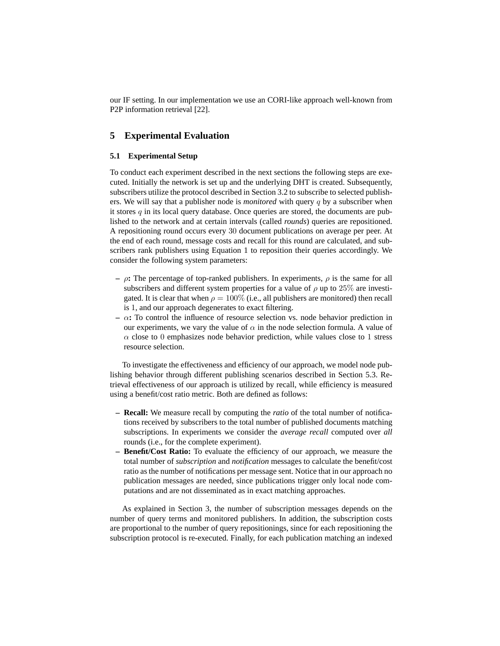our IF setting. In our implementation we use an CORI-like approach well-known from P2P information retrieval [22].

### **5 Experimental Evaluation**

### **5.1 Experimental Setup**

To conduct each experiment described in the next sections the following steps are executed. Initially the network is set up and the underlying DHT is created. Subsequently, subscribers utilize the protocol described in Section 3.2 to subscribe to selected publishers. We will say that a publisher node is *monitored* with query q by a subscriber when it stores  $q$  in its local query database. Once queries are stored, the documents are published to the network and at certain intervals (called *rounds*) queries are repositioned. A repositioning round occurs every 30 document publications on average per peer. At the end of each round, message costs and recall for this round are calculated, and subscribers rank publishers using Equation 1 to reposition their queries accordingly. We consider the following system parameters:

- **–** ρ**:** The percentage of top-ranked publishers. In experiments, ρ is the same for all subscribers and different system properties for a value of  $\rho$  up to 25% are investigated. It is clear that when  $\rho = 100\%$  (i.e., all publishers are monitored) then recall is 1, and our approach degenerates to exact filtering.
- **–** α**:** To control the influence of resource selection vs. node behavior prediction in our experiments, we vary the value of  $\alpha$  in the node selection formula. A value of  $\alpha$  close to 0 emphasizes node behavior prediction, while values close to 1 stress resource selection.

To investigate the effectiveness and efficiency of our approach, we model node publishing behavior through different publishing scenarios described in Section 5.3. Retrieval effectiveness of our approach is utilized by recall, while efficiency is measured using a benefit/cost ratio metric. Both are defined as follows:

- **– Recall:** We measure recall by computing the *ratio* of the total number of notifications received by subscribers to the total number of published documents matching subscriptions. In experiments we consider the *average recall* computed over *all* rounds (i.e., for the complete experiment).
- **– Benefit/Cost Ratio:** To evaluate the efficiency of our approach, we measure the total number of *subscription* and *notification* messages to calculate the benefit/cost ratio as the number of notifications per message sent. Notice that in our approach no publication messages are needed, since publications trigger only local node computations and are not disseminated as in exact matching approaches.

As explained in Section 3, the number of subscription messages depends on the number of query terms and monitored publishers. In addition, the subscription costs are proportional to the number of query repositionings, since for each repositioning the subscription protocol is re-executed. Finally, for each publication matching an indexed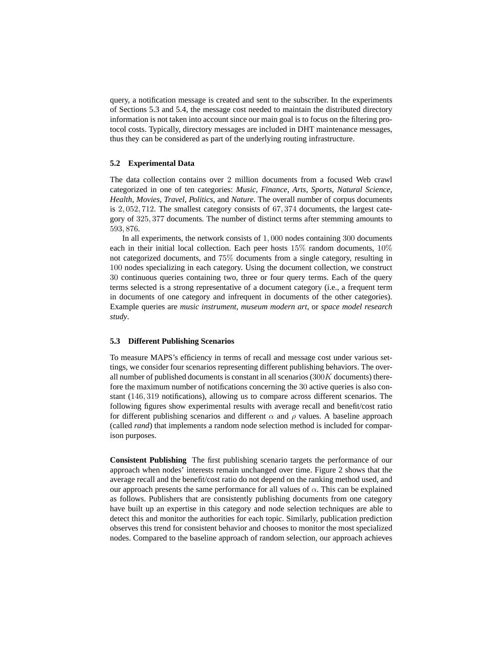query, a notification message is created and sent to the subscriber. In the experiments of Sections 5.3 and 5.4, the message cost needed to maintain the distributed directory information is not taken into account since our main goal is to focus on the filtering protocol costs. Typically, directory messages are included in DHT maintenance messages, thus they can be considered as part of the underlying routing infrastructure.

### **5.2 Experimental Data**

The data collection contains over 2 million documents from a focused Web crawl categorized in one of ten categories: *Music*, *Finance*, *Arts*, *Sports*, *Natural Science*, *Health*, *Movies*, *Travel*, *Politics*, and *Nature*. The overall number of corpus documents is 2, 052, 712. The smallest category consists of 67, 374 documents, the largest category of 325, 377 documents. The number of distinct terms after stemming amounts to 593, 876.

In all experiments, the network consists of 1, 000 nodes containing 300 documents each in their initial local collection. Each peer hosts  $15\%$  random documents,  $10\%$ not categorized documents, and 75% documents from a single category, resulting in 100 nodes specializing in each category. Using the document collection, we construct 30 continuous queries containing two, three or four query terms. Each of the query terms selected is a strong representative of a document category (i.e., a frequent term in documents of one category and infrequent in documents of the other categories). Example queries are *music instrument*, *museum modern art*, or *space model research study*.

### **5.3 Different Publishing Scenarios**

To measure MAPS's efficiency in terms of recall and message cost under various settings, we consider four scenarios representing different publishing behaviors. The overall number of published documents is constant in all scenarios  $(300K$  documents) therefore the maximum number of notifications concerning the 30 active queries is also constant (146, 319 notifications), allowing us to compare across different scenarios. The following figures show experimental results with average recall and benefit/cost ratio for different publishing scenarios and different  $\alpha$  and  $\rho$  values. A baseline approach (called *rand*) that implements a random node selection method is included for comparison purposes.

**Consistent Publishing** The first publishing scenario targets the performance of our approach when nodes' interests remain unchanged over time. Figure 2 shows that the average recall and the benefit/cost ratio do not depend on the ranking method used, and our approach presents the same performance for all values of  $\alpha$ . This can be explained as follows. Publishers that are consistently publishing documents from one category have built up an expertise in this category and node selection techniques are able to detect this and monitor the authorities for each topic. Similarly, publication prediction observes this trend for consistent behavior and chooses to monitor the most specialized nodes. Compared to the baseline approach of random selection, our approach achieves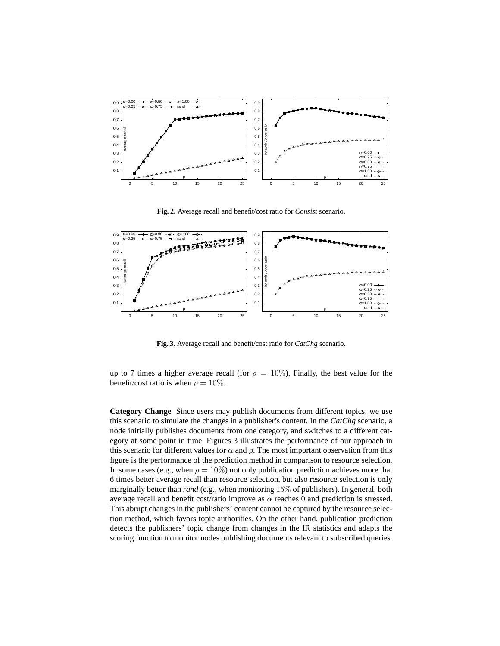

**Fig. 2.** Average recall and benefit/cost ratio for *Consist* scenario.



**Fig. 3.** Average recall and benefit/cost ratio for *CatChg* scenario.

up to 7 times a higher average recall (for  $\rho = 10\%$ ). Finally, the best value for the benefit/cost ratio is when  $\rho = 10\%$ .

**Category Change** Since users may publish documents from different topics, we use this scenario to simulate the changes in a publisher's content. In the *CatChg* scenario, a node initially publishes documents from one category, and switches to a different category at some point in time. Figures 3 illustrates the performance of our approach in this scenario for different values for  $\alpha$  and  $\rho$ . The most important observation from this figure is the performance of the prediction method in comparison to resource selection. In some cases (e.g., when  $\rho = 10\%$ ) not only publication prediction achieves more that 6 times better average recall than resource selection, but also resource selection is only marginally better than *rand* (e.g., when monitoring 15% of publishers). In general, both average recall and benefit cost/ratio improve as  $\alpha$  reaches 0 and prediction is stressed. This abrupt changes in the publishers' content cannot be captured by the resource selection method, which favors topic authorities. On the other hand, publication prediction detects the publishers' topic change from changes in the IR statistics and adapts the scoring function to monitor nodes publishing documents relevant to subscribed queries.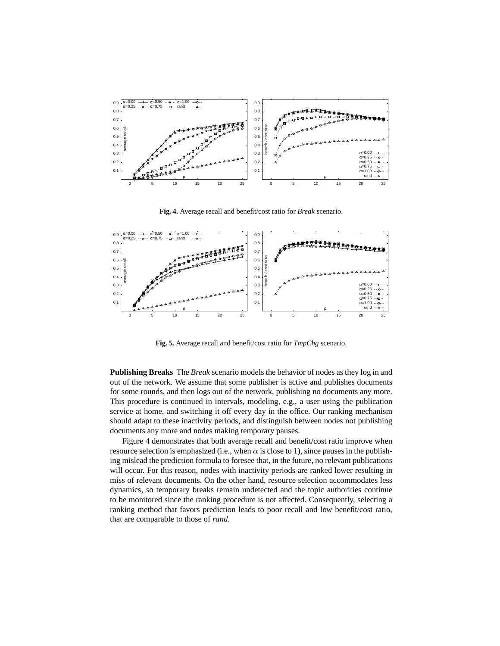

**Fig. 4.** Average recall and benefit/cost ratio for *Break* scenario.



**Fig. 5.** Average recall and benefit/cost ratio for *TmpChg* scenario.

**Publishing Breaks** The *Break* scenario models the behavior of nodes as they log in and out of the network. We assume that some publisher is active and publishes documents for some rounds, and then logs out of the network, publishing no documents any more. This procedure is continued in intervals, modeling, e.g., a user using the publication service at home, and switching it off every day in the office. Our ranking mechanism should adapt to these inactivity periods, and distinguish between nodes not publishing documents any more and nodes making temporary pauses.

Figure 4 demonstrates that both average recall and benefit/cost ratio improve when resource selection is emphasized (i.e., when  $\alpha$  is close to 1), since pauses in the publishing mislead the prediction formula to foresee that, in the future, no relevant publications will occur. For this reason, nodes with inactivity periods are ranked lower resulting in miss of relevant documents. On the other hand, resource selection accommodates less dynamics, so temporary breaks remain undetected and the topic authorities continue to be monitored since the ranking procedure is not affected. Consequently, selecting a ranking method that favors prediction leads to poor recall and low benefit/cost ratio, that are comparable to those of *rand*.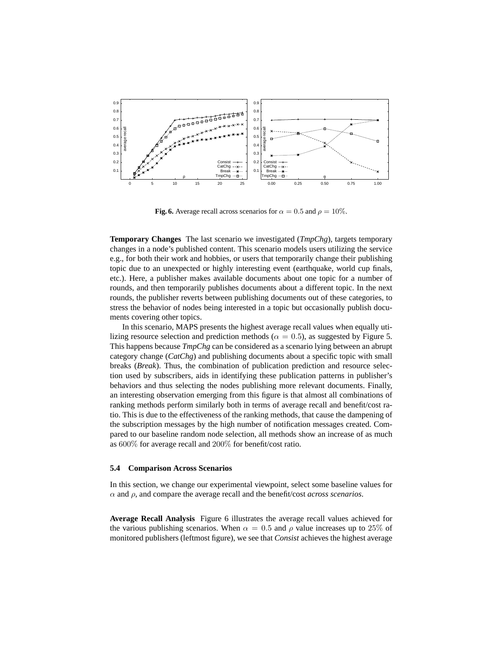

**Fig. 6.** Average recall across scenarios for  $\alpha = 0.5$  and  $\rho = 10\%$ .

**Temporary Changes** The last scenario we investigated (*TmpChg*), targets temporary changes in a node's published content. This scenario models users utilizing the service e.g., for both their work and hobbies, or users that temporarily change their publishing topic due to an unexpected or highly interesting event (earthquake, world cup finals, etc.). Here, a publisher makes available documents about one topic for a number of rounds, and then temporarily publishes documents about a different topic. In the next rounds, the publisher reverts between publishing documents out of these categories, to stress the behavior of nodes being interested in a topic but occasionally publish documents covering other topics.

In this scenario, MAPS presents the highest average recall values when equally utilizing resource selection and prediction methods ( $\alpha = 0.5$ ), as suggested by Figure 5. This happens because *TmpChg* can be considered as a scenario lying between an abrupt category change (*CatChg*) and publishing documents about a specific topic with small breaks (*Break*). Thus, the combination of publication prediction and resource selection used by subscribers, aids in identifying these publication patterns in publisher's behaviors and thus selecting the nodes publishing more relevant documents. Finally, an interesting observation emerging from this figure is that almost all combinations of ranking methods perform similarly both in terms of average recall and benefit/cost ratio. This is due to the effectiveness of the ranking methods, that cause the dampening of the subscription messages by the high number of notification messages created. Compared to our baseline random node selection, all methods show an increase of as much as 600% for average recall and 200% for benefit/cost ratio.

#### **5.4 Comparison Across Scenarios**

In this section, we change our experimental viewpoint, select some baseline values for α and ρ, and compare the average recall and the benefit/cost *across scenarios*.

**Average Recall Analysis** Figure 6 illustrates the average recall values achieved for the various publishing scenarios. When  $\alpha = 0.5$  and  $\rho$  value increases up to 25% of monitored publishers (leftmost figure), we see that *Consist* achieves the highest average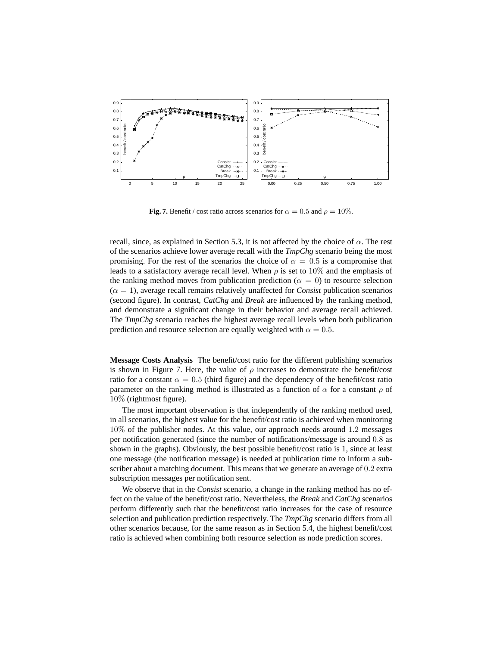

**Fig. 7.** Benefit / cost ratio across scenarios for  $\alpha = 0.5$  and  $\rho = 10\%$ .

recall, since, as explained in Section 5.3, it is not affected by the choice of  $\alpha$ . The rest of the scenarios achieve lower average recall with the *TmpChg* scenario being the most promising. For the rest of the scenarios the choice of  $\alpha = 0.5$  is a compromise that leads to a satisfactory average recall level. When  $\rho$  is set to 10% and the emphasis of the ranking method moves from publication prediction ( $\alpha = 0$ ) to resource selection  $(\alpha = 1)$ , average recall remains relatively unaffected for *Consist* publication scenarios (second figure). In contrast, *CatChg* and *Break* are influenced by the ranking method, and demonstrate a significant change in their behavior and average recall achieved. The *TmpChg* scenario reaches the highest average recall levels when both publication prediction and resource selection are equally weighted with  $\alpha = 0.5$ .

**Message Costs Analysis** The benefit/cost ratio for the different publishing scenarios is shown in Figure 7. Here, the value of  $\rho$  increases to demonstrate the benefit/cost ratio for a constant  $\alpha = 0.5$  (third figure) and the dependency of the benefit/cost ratio parameter on the ranking method is illustrated as a function of  $\alpha$  for a constant  $\rho$  of 10% (rightmost figure).

The most important observation is that independently of the ranking method used, in all scenarios, the highest value for the benefit/cost ratio is achieved when monitoring 10% of the publisher nodes. At this value, our approach needs around 1.2 messages per notification generated (since the number of notifications/message is around 0.8 as shown in the graphs). Obviously, the best possible benefit/cost ratio is 1, since at least one message (the notification message) is needed at publication time to inform a subscriber about a matching document. This means that we generate an average of 0.2 extra subscription messages per notification sent.

We observe that in the *Consist* scenario, a change in the ranking method has no effect on the value of the benefit/cost ratio. Nevertheless, the *Break* and *CatChg* scenarios perform differently such that the benefit/cost ratio increases for the case of resource selection and publication prediction respectively. The *TmpChg* scenario differs from all other scenarios because, for the same reason as in Section 5.4, the highest benefit/cost ratio is achieved when combining both resource selection as node prediction scores.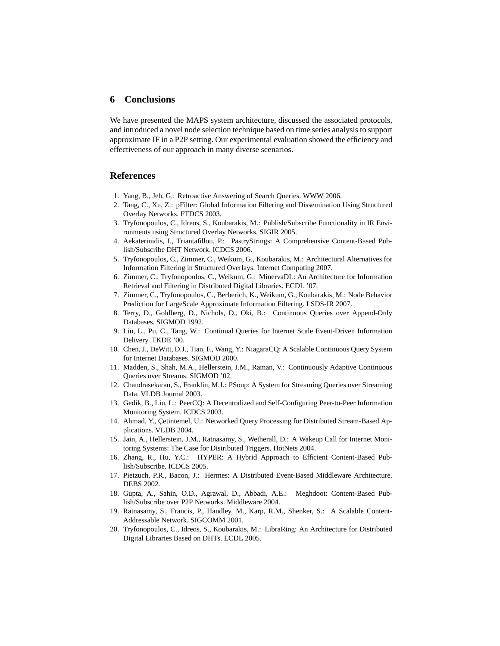# **6 Conclusions**

We have presented the MAPS system architecture, discussed the associated protocols, and introduced a novel node selection technique based on time series analysis to support approximate IF in a P2P setting. Our experimental evaluation showed the efficiency and effectiveness of our approach in many diverse scenarios.

# **References**

- 1. Yang, B., Jeh, G.: Retroactive Answering of Search Queries. WWW 2006.
- 2. Tang, C., Xu, Z.: pFilter: Global Information Filtering and Dissemination Using Structured Overlay Networks. FTDCS 2003.
- 3. Tryfonopoulos, C., Idreos, S., Koubarakis, M.: Publish/Subscribe Functionality in IR Environments using Structured Overlay Networks. SIGIR 2005.
- 4. Aekaterinidis, I., Triantafillou, P.: PastryStrings: A Comprehensive Content-Based Publish/Subscribe DHT Network. ICDCS 2006.
- 5. Tryfonopoulos, C., Zimmer, C., Weikum, G., Koubarakis, M.: Architectural Alternatives for Information Filtering in Structured Overlays. Internet Computing 2007.
- 6. Zimmer, C., Tryfonopoulos, C., Weikum, G.: MinervaDL: An Architecture for Information Retrieval and Filtering in Distributed Digital Libraries. ECDL '07.
- 7. Zimmer, C., Tryfonopoulos, C., Berberich, K., Weikum, G., Koubarakis, M.: Node Behavior Prediction for LargeScale Approximate Information Filtering. LSDS-IR 2007.
- 8. Terry, D., Goldberg, D., Nichols, D., Oki, B.: Continuous Queries over Append-Only Databases. SIGMOD 1992.
- 9. Liu, L., Pu, C., Tang, W.: Continual Queries for Internet Scale Event-Driven Information Delivery. TKDE '00.
- 10. Chen, J., DeWitt, D.J., Tian, F., Wang, Y.: NiagaraCQ: A Scalable Continuous Query System for Internet Databases. SIGMOD 2000.
- 11. Madden, S., Shah, M.A., Hellerstein, J.M., Raman, V.: Continuously Adaptive Continuous Queries over Streams. SIGMOD '02.
- 12. Chandrasekaran, S., Franklin, M.J.: PSoup: A System for Streaming Queries over Streaming Data. VLDB Journal 2003.
- 13. Gedik, B., Liu, L.: PeerCQ: A Decentralized and Self-Configuring Peer-to-Peer Information Monitoring System. ICDCS 2003.
- 14. Ahmad, Y., Çetintemel, U.: Networked Query Processing for Distributed Stream-Based Applications. VLDB 2004.
- 15. Jain, A., Hellerstein, J.M., Ratnasamy, S., Wetherall, D.: A Wakeup Call for Internet Monitoring Systems: The Case for Distributed Triggers. HotNets 2004.
- 16. Zhang, R., Hu, Y.C.: HYPER: A Hybrid Approach to Efficient Content-Based Publish/Subscribe. ICDCS 2005.
- 17. Pietzuch, P.R., Bacon, J.: Hermes: A Distributed Event-Based Middleware Architecture. DEBS 2002.
- 18. Gupta, A., Sahin, O.D., Agrawal, D., Abbadi, A.E.: Meghdoot: Content-Based Publish/Subscribe over P2P Networks. Middleware 2004.
- 19. Ratnasamy, S., Francis, P., Handley, M., Karp, R.M., Shenker, S.: A Scalable Content-Addressable Network. SIGCOMM 2001.
- 20. Tryfonopoulos, C., Idreos, S., Koubarakis, M.: LibraRing: An Architecture for Distributed Digital Libraries Based on DHTs. ECDL 2005.